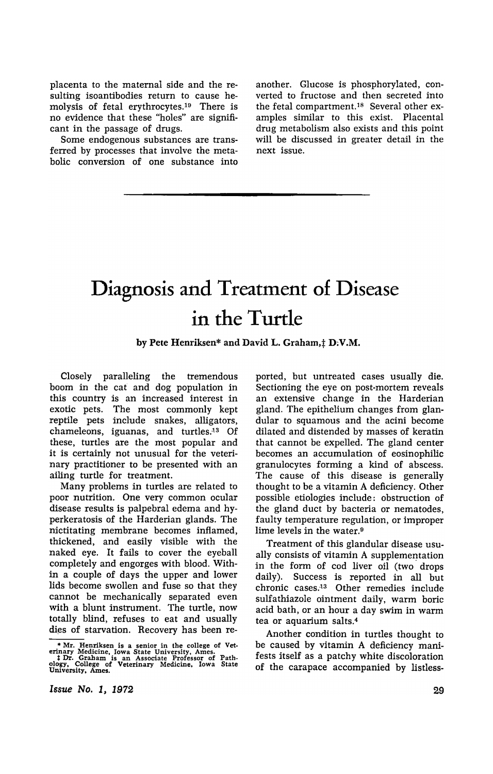placenta to the maternal side and the resulting isoantibodies return to cause hemolysis of fetal erythrocytes.19 There is no evidence that these "holes" are significant in the passage of drugs.

Some endogenous substances are transferred by processes that involve the metabolic conversion of one substance into another. Glucose is phosphorylated, converted to fructose and then secreted into the fetal compartment.<sup>18</sup> Several other examples similar to this exist. Placental drug metabolism also exists and this point will be discussed in greater detail in the next issue.

## **Diagnosis and Treatment of Disease in the Turtle**

by Pete Henriksen\* and David L. Graham, † D.V.M.

Closely paralleling the tremendous boom in the cat and dog population in this country is an increased interest in exotic pets. The most commonly kept reptile pets include snakes, alligators, chameleons, iguanas, and turtles.<sup>13</sup> Of these, turtles are the most popular and it is certainly not unusual for the veterinary practitioner to be presented with an ailing turtle for treatment.

Many problems in turtles are related to poor nutrition. One very common ocular disease results is palpebral edema and hyperkeratosis of the Harderian glands. The nictitating membrane becomes inflamed, thickened, and easily visible with the naked eye. It fails to cover the eyeball completely and engorges with blood. Within a couple of days the upper and lower lids become swollen and fuse so that they cannot be mechanically separated even with a blunt instrument. The turtle, now totally blind, refuses to eat and usually dies of starvation. Recovery has been re-

ported, but untreated cases usually die. Sectioning the eye on post-mortem reveals an extensive change in the Harderian gland. The epithelium changes from glandular to squamous and the acini become dilated and distended by masses of keratin that cannot be expelled. The gland center becomes an accumulation of eosinophilic granulocytes forming a kind of abscess. The cause of this disease is generally thought to be a vitamin A deficiency. Other possible etiologies include: obstruction of the gland duct by bacteria or nematodes, faulty temperature regulation, or improper lime levels in the water.<sup>9</sup>

Treatment of this glandular disease usually consists of vitamin A supplementation in the form of cod liver oil (two drops daily). Success is reported in all but chronic cases.<sup>13</sup> Other remedies include sulfathiazole ointment daily, warm boric acid bath, or an hour a day swim in warm tea or aquarium salts.<sup>4</sup>

Another condition in turtles thought to be caused by vitamin A deficiency manifests itself as a patchy white discoloration of the carapace accompanied by listless-

*Issue No.* I, 1972

<sup>•</sup> Mr. Henriksen is a senior in the college of Vet-erinary Medicine. Iowa State University. Ames. \* Dr. Graham is an Associate Professor of Path-ology, College of Veterinary Medicine. Iowa State University, Ames.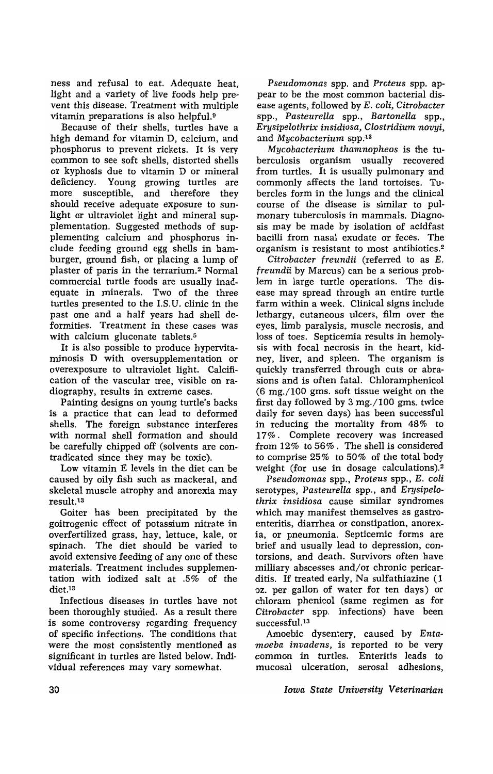ness and refusal to eat. Adequate heat, light and a variety of live foods help prevent this disease. Treatment with multiple vitamin preparations is also helpful.<sup>9</sup>

Because of their shells, turtles have a high demand for vitamin D, calcium, and phosphorus to prevent rickets. It is very common to see soft shells, distorted shells or kyphosis due to vitamin D or mineral deficiency. Young growing turtles are more susceptible, and therefore they should receive adequate exposure to sunlight or ultraviolet light and mineral supplementation. Suggested methods of supplementing calcium and phosphorus include feeding ground egg shells in hamburger, ground fish, or placing a lump of plaster of paris in the terrarium. 2 Normal commercial turtle foods are usually inadequate in minerals. Two of the three turtles presented to the I.S.U. clinic in the past one and a half years had shell deformities. Treatment in these cases was with calcium gluconate tablets.<sup>5</sup>

It is also possible to produce hypervitaminosis D with oversupplementation or overexposure to ultraviolet light. Calcification of the vascular tree, visible on radiography, results in extreme cases.

Painting designs on young turtle's backs is a practice that can lead to deformed shells. The foreign substance interferes with normal shell formation and should be carefully chipped off (solvents are contradicated since they may be toxic).

Low vitamin E levels in the diet can be caused by oily fish such as mackeral, and skeletal muscle atrophy and anorexia may result.13

Goiter has been precipitated by the goitrogenic effect of potassium nitrate in overfertilized grass, hay, lettuce, kale, or spinach. The diet should be varied to avoid extensive feeding of anyone of these materials. Treatment includes supplementation with iodized salt at .5% of the diet,13

Infectious diseases in turtles have not been thoroughly studied. As a result there is some controversy regarding frequency of specific infections. The conditions that were the most consistently mentioned as significant in turtles are listed below. Individual references may vary somewhat.

*Pseudomonas* spp. and *Proteus* spp. appear to be the most common bacterial disease agents, followed by *E. coli, Citrobacter*  spp., *Pasteurella* spp., *Bartonella* spp., *Erysipelothrix insidiosa, Clostridium novyi,*  and *Mycobacterium* spp.<sup>13</sup>

*Mycobacterium thamnopheos* is the tuberculosis organism usually recovered from turtles. It is usually pulmonary and commonly affects the land tortoises. Tubercles form in the lungs and the clinical course of the disease is similar to pulmonary tuberculosis in mammals. Diagnosis may be made by isolation of acidfast bacilli from nasal exudate or feces. The organism is resistant to most antibiotics.2

*Citrobacter freundii* (referred to as *E. freundii* by Marcus) can be a serious problem in large turtle operations. The disease may spread through an entire turtle farm within a week. Clinical signs include lethargy, cutaneous ulcers, film over the eyes, limb paralysis, muscle necrosis, and loss of toes. Septicemia results in hemolysis with focal necrosis in the heart, kidney, liver, and spleen. The organism is quickly transferred through cuts or abrasions and is often fatal. Chloramphenicol (6 mg./100 gms. soft tissue weight on the first day followed by 3 mg./100 gms. twice daily for seven days) has been successful in reducing the mortality from 48% to 17%. Complete recovery was increased from 12% to 56%. The shell is considered to comprise 25% to 50% of the total body weight (for use in dosage calculations).2

*Pseudomonas* spp., *Proteus* spp., *E. coli*  serotypes, *Pasteurella* spp., and *Erysipelothrix insidiosa* cause similar syndromes which may manifest themselves as gastroenteritis, diarrhea or constipation, anorexia, or pneumonia. Septicemic forms are brief and usually lead to depression, contorsions, and death. Survivors often have milliary abscesses and/or chronic pericarditis. If treated early, Na sulfathiazine (1 oz. per gallon of water for ten days) or chloram phenicol (same regimen as for *Citrobacter* spp. infections) have been successful. 13

Amoebic dysentery, caused by *Entamoeba invadens,* is reported to be very common in turtles. Enteritis leads to mucosal ulceration, serosal adhesions,

*Iowa State University Veterinarian*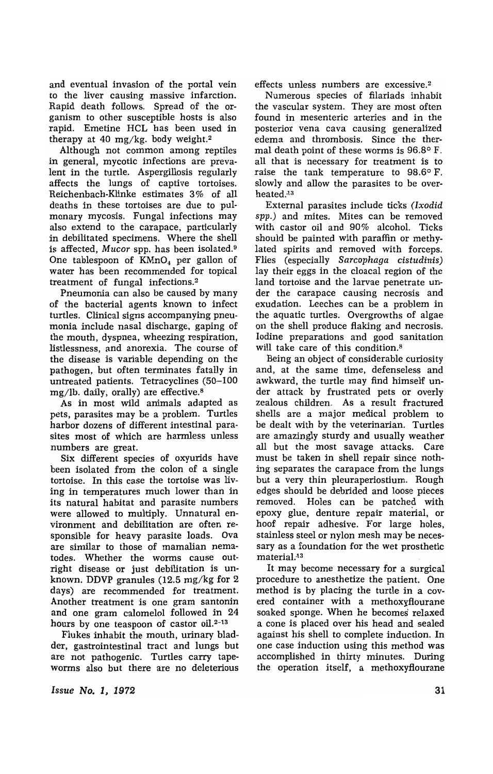and eventual invasion of the portal vein to the liver causing massive infarction. Rapid death follows. Spread of the organism to other susceptible hosts is also rapid. Emetine HCL has been used in therapy at 40 mg/kg. body weight.<sup>2</sup>

Although not common among reptiles in general, mycotic infections are prevalent in the turtle. Aspergillosis regularly affects the lungs of captive tortoises. Reichenbach-Klinke estimates 3% of all deaths in these tortoises are due to pulmonary mycosis. Fungal infections may also extend to the carapace, particularly in debilitated specimens. Where the shell is affected, *Mucor* spp. has been isolated.<sup>9</sup> One tablespoon of  $KMnO<sub>4</sub>$  per gallon of water has been recommended for topical treatment of fungal infections. <sup>2</sup>

Pneumonia can also be caused by many of the bacterial agents known to infect turtles. Clinical signs accompanying pneumonia include nasal discharge, gaping of the mouth, dyspnea, wheezing respiration, listlessness, and anorexia. The course of the disease is variable depending on the pathogen, but often terminates fatally in untreated patients. Tetracyclines (50-100  $mg/lb$ . daily, orally) are effective.<sup>8</sup>

As in most wild animals adapted as pets, parasites may be a problem. Turtles harbor dozens of different intestinal parasites most of which are harmless unless numbers are great.

Six different species of oxyurids have been isolated from the colon of a single tortoise. In this case the tortoise was living in temperatures much lower than in its natural habitat and parasite numbers were allowed to multiply. Unnatural environment and debilitation are often responsible for heavy parasite loads. Ova are similar to those of mamalian nematodes. Whether the worms cause outright disease or just debilitation is unknown. DDVP granules (12.5 mg/kg for 2 days) are recommended for treatment. Another treatment is one gram santonin and one gram calomelol followed in 24 hours by one teaspoon of castor oil.<sup>2-13</sup>

Flukes inhabit the mouth, urinary bladder, gastrointestinal tract and lungs but are not pathogenic. Turtles carry tapeworms also but there are no deleterious

*Issue No.1, 1972* 

effects unless numbers are excessive.<sup>2</sup>

Numerous species of filariads inhabit the vascular system. They are most often found in mesenteric arteries and in the posterior vena cava causing generalized edema and thrombosis. Since the thermal death point of these worms is 96.8° F. all that is necessary for treatment is to raise the tank temperature to 98.6° F. slowly and allow the parasites to be overheated:13

External parasites include ticks *(Ixodid spp.)* and mites. Mites can be removed with castor oil and 90% alcohol. Ticks should be painted with paraffin or methylated spirits and removed with forceps. Flies (especially *Sarcophaga cistudinis)*  lay their eggs in the cloacal region of the land tortoise and the larvae penetrate under the carapace causing necrosis and exudation. Leeches can be a problem in the aquatic turtles. Overgrowths of algae on the shell produce flaking and necrosis. Iodine preparations and good sanitation will take care of this condition.<sup>8</sup>

Being an object of considerable curiosity and, at the same time, defenseless and awkward, the turtle may find himself under attack by frustrated pets or overly zealous children. As a result fractured shells are a major medical problem to be dealt with by the veterinarian. Turtles are amazingly sturdy and usually weather all but the most savage attacks. Care must be taken in shell repair since nothing separates the carapace from the lungs but a very thin pleuraperiostium. Rough edges should be debrided and loose pieces removed. Holes can be patched with epoxy glue, denture repair material, or hoof repair adhesive. For large holes, stainless steel or nylon mesh may be necessary as a foundation for the wet prosthetic material:13

It may become necessary for a surgical procedure to anesthetize the patient. One method is by placing the turtle in a covered container with a methoxyflourane soaked sponge. When he becomes' relaxed a cone is placed over his head and sealed against his shell to complete induction. In one case induction using this method was accomplished in thirty minutes. During the operation itself, a methoxyflourane